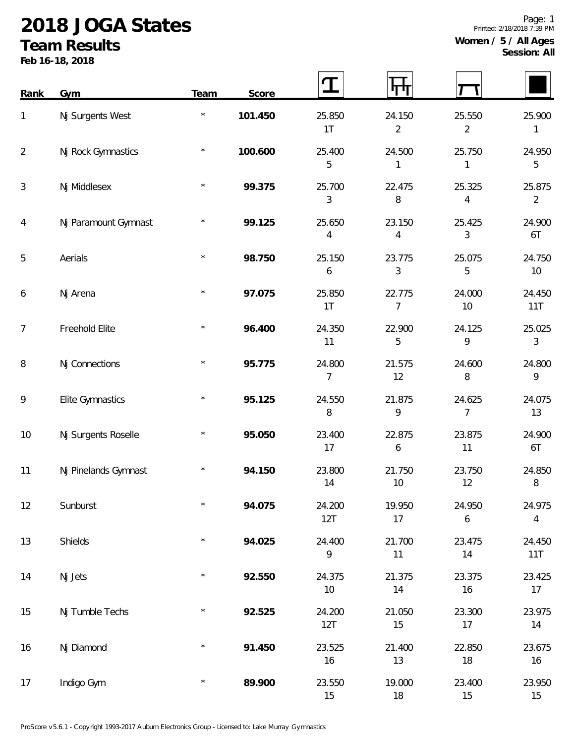## **2018 JOGA States**

## **Team Results**

**Feb 16-18, 2018**

| Rank           | Gym                  | Team     | Score   | $\mathbf T$    |                          |                          |                          |
|----------------|----------------------|----------|---------|----------------|--------------------------|--------------------------|--------------------------|
| 1              | Nj Surgents West     | $\star$  | 101.450 | 25.850<br>1T   | 24.150<br>2              | 25.550<br>$\overline{2}$ | 25.900<br>1              |
| $\overline{2}$ | Nj Rock Gymnastics   | $\star$  | 100.600 | 25.400<br>5    | 24.500                   | 25.750<br>1              | 24.950<br>5              |
| 3              | Nj Middlesex         | $\star$  | 99.375  | 25.700<br>3    | 22.475<br>$\, 8$         | 25.325<br>4              | 25.875<br>$\overline{2}$ |
| 4              | Nj Paramount Gymnast | $^\star$ | 99.125  | 25.650<br>4    | 23.150<br>4              | 25.425<br>3              | 24.900<br>6T             |
| 5              | Aerials              | $\star$  | 98.750  | 25.150<br>6    | 23.775<br>3              | 25.075<br>5              | 24.750<br>$10$           |
| 6              | Nj Arena             | $\star$  | 97.075  | 25.850<br>1T   | 22.775<br>$\overline{7}$ | 24.000<br>10             | 24.450<br>11T            |
| 7              | Freehold Elite       | $\star$  | 96.400  | 24.350<br>11   | 22.900<br>5              | 24.125<br>9              | 25.025<br>3              |
| 8              | Nj Connections       | $\star$  | 95.775  | 24.800<br>7    | 21.575<br>12             | 24.600<br>8              | 24.800<br>9              |
| 9              | Elite Gymnastics     | $\star$  | 95.125  | 24.550<br>8    | 21.875<br>9              | 24.625<br>7              | 24.075<br>13             |
| 10             | Nj Surgents Roselle  | $\star$  | 95.050  | 23.400<br>17   | 22.875<br>6              | 23.875<br>11             | 24.900<br>6T             |
| 11             | Nj Pinelands Gymnast | $\star$  | 94.150  | 23.800<br>14   | 21.750<br>10             | 23.750<br>12             | 24.850<br>8              |
| 12             | Sunburst             | $\star$  | 94.075  | 24.200<br>12T  | 19.950<br>17             | 24.950<br>6              | 24.975<br>$\overline{4}$ |
| 13             | Shields              | $\star$  | 94.025  | 24.400<br>9    | 21.700<br>11             | 23.475<br>14             | 24.450<br>11T            |
| 14             | Nj Jets              | $\star$  | 92.550  | 24.375<br>$10$ | 21.375<br>14             | 23.375<br>16             | 23.425<br>17             |
| 15             | Nj Tumble Techs      | $\star$  | 92.525  | 24.200<br>12T  | 21.050<br>15             | 23.300<br>17             | 23.975<br>14             |
| 16             | Nj Diamond           | $\star$  | 91.450  | 23.525<br>16   | 21.400<br>13             | 22.850<br>$18\,$         | 23.675<br>16             |
| 17             | Indigo Gym           | $\star$  | 89.900  | 23.550<br>15   | 19.000<br>18             | 23.400<br>15             | 23.950<br>15             |